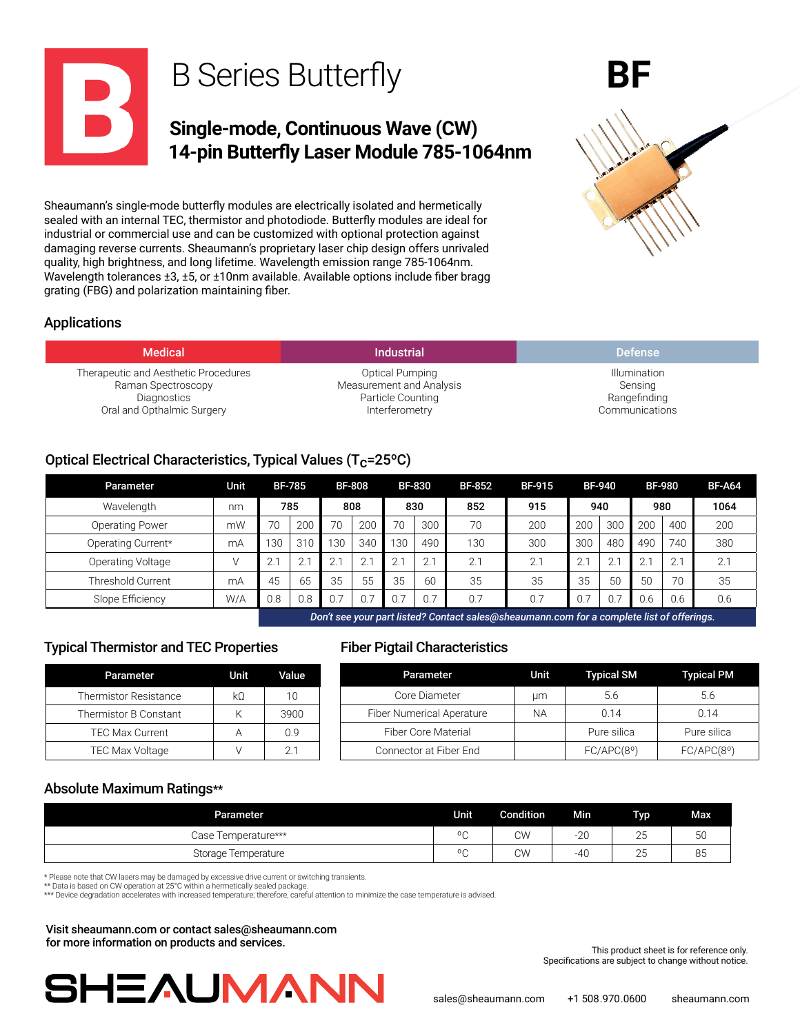

Sheaumann's single-mode butterfly modules are electrically isolated and hermetically sealed with an internal TEC, thermistor and photodiode. Butterfly modules are ideal for industrial or commercial use and can be customized with optional protection against damaging reverse currents. Sheaumann's proprietary laser chip design offers unrivaled quality, high brightness, and long lifetime. Wavelength emission range 785-1064nm. Wavelength tolerances ±3, ±5, or ±10nm available. Available options include fiber bragg grating (FBG) and polarization maintaining fiber.

# Applications

| <b>Medical</b>                       | <b>Industrial</b>        | <b>Defense</b> |
|--------------------------------------|--------------------------|----------------|
| Therapeutic and Aesthetic Procedures | Optical Pumping          | Illumination   |
| Raman Spectroscopy                   | Measurement and Analysis | Sensing        |
| Diagnostics                          | Particle Counting        | Rangefinding   |
| Oral and Opthalmic Surgery           | Interferometry           | Communications |

# Optical Electrical Characteristics, Typical Values ( $T_c$ =25°C)

| Parameter              | Unit |     | <b>BF-785</b> |     | <b>BF-808</b> |     | <b>BF-830</b> | <b>BF-852</b> | <b>BF-915</b> |     | <b>BF-940</b> | <b>BF-980</b> |     | <b>BF-A64</b> |
|------------------------|------|-----|---------------|-----|---------------|-----|---------------|---------------|---------------|-----|---------------|---------------|-----|---------------|
| Wavelength             | nm   |     | 785           |     | 808           |     | 830           | 852           | 915           |     | 940           | 980           |     | 1064          |
| <b>Operating Power</b> | mW   | 70  | 200           | 70  | 200           | 70  | 300           | 70            | 200           | 200 | 300           | 200           | 400 | 200           |
| Operating Current*     | mA   | 130 | 310           | 130 | 340           | 130 | 490           | 130           | 300           | 300 | 480           | 490           | 740 | 380           |
| Operating Voltage      |      |     | $\sim$        | 2.7 | 2.            | 2.1 | 2.1           | 2.1           | 2.1           | 2.1 | 2.1           |               | 2.1 | 2.1           |
| Threshold Current      | mA   | 45  | 65            | 35  | 55            | 35  | 60            | 35            | 35            | 35  | 50            | 50            | 70  | 35            |
| Slope Efficiency       | W/A  | 0.8 | 0.8           | 0.7 |               |     | 0.7           | 0.7           | 0.7           | 0.7 | 0.7           | 0.6           | 0.6 | 0.6           |
|                        |      |     |               |     |               |     |               |               |               |     |               |               |     |               |

*Don't see your part listed? Contact sales@sheaumann.com for a complete list of offerings.*

# Typical Thermistor and TEC Properties

| Parameter                    | Unit | Value. |
|------------------------------|------|--------|
| <b>Thermistor Resistance</b> | kΟ   | 1 ∩    |
| Thermistor B Constant        | κ    | 3900   |
| <b>TEC Max Current</b>       |      | () 9   |
| <b>TEC Max Voltage</b>       |      | 21     |

## Fiber Pigtail Characteristics

| Parameter             | Unit           | Value | Parameter                        | Unit      | <b>Typical SM</b> | <b>Typical PM</b> |
|-----------------------|----------------|-------|----------------------------------|-----------|-------------------|-------------------|
| rmistor Resistance    | k <sub>0</sub> | 10    | Core Diameter                    | um        | 5.6               | 5.6               |
| rmistor B Constant    |                | 3900  | <b>Fiber Numerical Aperature</b> | <b>NA</b> | 0.14              | 0.14              |
| <b>EC Max Current</b> |                | 0.9   | <b>Fiber Core Material</b>       |           | Pure silica       | Pure silica       |
| EC Max Voltage        |                |       | Connector at Fiber End           |           | FC/APC(8°)        | FC/APC(8°)        |

## Absolute Maximum Ratings\*\*

| <b>Parameter</b>    | Unit       | <b>Condition</b> | <b>Min</b>    | <b>Typ</b>          | Max |
|---------------------|------------|------------------|---------------|---------------------|-----|
| Case Temperature*** | $\circ$    | CW               | $\cap$<br>-ZU | $\sim$<br>Zü        | 50  |
| Storage Temperature | $^{\circ}$ | <b>CW</b>        | -40           | $\sim$ $\sim$<br>∠J | 85  |

\* Please note that CW lasers may be damaged by excessive drive current or switching transients. \*\* Data is based on CW operation at 25°C within a hermetically sealed package.

\*\*\* Device degradation accelerates with increased temperature; therefore, careful attention to minimize the case temperature is advised.

Visit sheaumann.com or contact sales@sheaumann.com for more information on products and services.



This product sheet is for reference only. Specifications are subject to change without notice.

**BF**